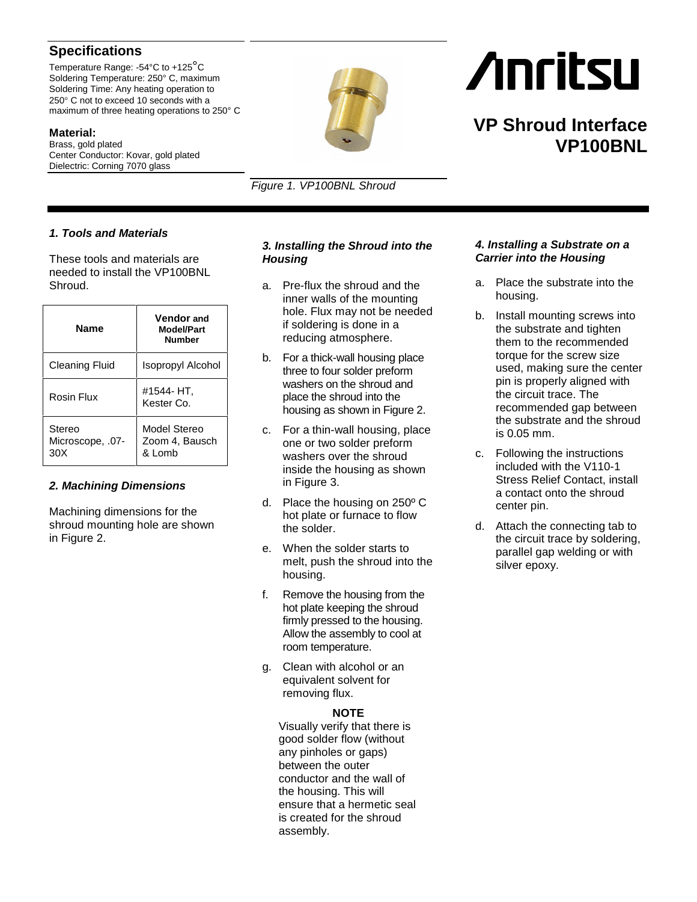# **Specifications**

Temperature Range: -54°C to +125°C Soldering Temperature: 250° C, maximum Soldering Time: Any heating operation to 250° C not to exceed 10 seconds with a maximum of three heating operations to 250° C

**Material:** Brass, gold plated Center Conductor: Kovar, gold plated Dielectric: Corning 7070 glass



*Figure 1. VP100BNL Shroud*

# *1. Tools and Materials*

These tools and materials are needed to install the VP100BNL Shroud.

| <b>Name</b>                       | <b>Vendor</b> and<br>Model/Part<br><b>Number</b> |
|-----------------------------------|--------------------------------------------------|
| <b>Cleaning Fluid</b>             | Isopropyl Alcohol                                |
| Rosin Flux                        | #1544- HT,<br>Kester Co.                         |
| Stereo<br>Microscope, .07-<br>30X | Model Stereo<br>Zoom 4, Bausch<br>& Lomb         |

### *2. Machining Dimensions*

Machining dimensions for the shroud mounting hole are shown in Figure 2.

# *3. Installing the Shroud into the Housing*

- a. Pre-flux the shroud and the inner walls of the mounting hole. Flux may not be needed if soldering is done in a reducing atmosphere.
- b. For a thick-wall housing place three to four solder preform washers on the shroud and place the shroud into the housing as shown in Figure 2.
- c. For a thin-wall housing, place one or two solder preform washers over the shroud inside the housing as shown in Figure 3.
- d. Place the housing on 250º C hot plate or furnace to flow the solder.
- e. When the solder starts to melt, push the shroud into the housing.
- f. Remove the housing from the hot plate keeping the shroud firmly pressed to the housing. Allow the assembly to cool at room temperature.
- g. Clean with alcohol or an equivalent solvent for removing flux.

#### **NOTE**

Visually verify that there is good solder flow (without any pinholes or gaps) between the outer conductor and the wall of the housing. This will ensure that a hermetic seal is created for the shroud assembly.

## *4. Installing a Substrate on a Carrier into the Housing*

- a. Place the substrate into the housing.
- b. Install mounting screws into the substrate and tighten them to the recommended torque for the screw size used, making sure the center pin is properly aligned with the circuit trace. The recommended gap between the substrate and the shroud is 0.05 mm.
- c. Following the instructions included with the V110-1 Stress Relief Contact, install a contact onto the shroud center pin.
- d. Attach the connecting tab to the circuit trace by soldering, parallel gap welding or with silver epoxy.

# **Anritsu**

# **VP Shroud Interface VP100BNL**